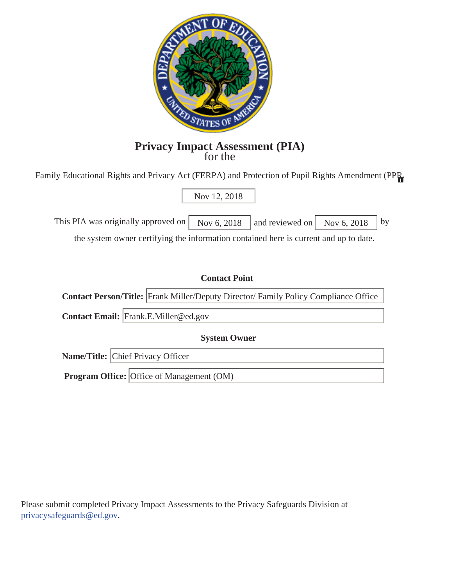

# **Privacy Impact Assessment (PIA)** for the

Family Educational Rights and Privacy Act (FERPA) and Protection of Pupil Rights Amendment (PPR

# Nov 12, 2018

This PIA was originally approved on  $\sqrt{N_{\text{OV}} 6, 2018}$  and reviewed on  $\sqrt{N_{\text{OV}} 6, 2018}$ 

the system owner certifying the information contained here is current and up to date.

| <b>Contact Point</b>                             |                                                                                            |  |  |  |
|--------------------------------------------------|--------------------------------------------------------------------------------------------|--|--|--|
|                                                  | <b>Contact Person/Title:</b> Frank Miller/Deputy Director/ Family Policy Compliance Office |  |  |  |
| Contact Email: Frank.E.Miller@ed.gov             |                                                                                            |  |  |  |
| <b>System Owner</b>                              |                                                                                            |  |  |  |
|                                                  | <b>Name/Title:</b> Chief Privacy Officer                                                   |  |  |  |
| <b>Program Office:</b> Office of Management (OM) |                                                                                            |  |  |  |

Please submit completed Privacy Impact Assessments to the Privacy Safeguards Division at privacysafeguards@ed.gov.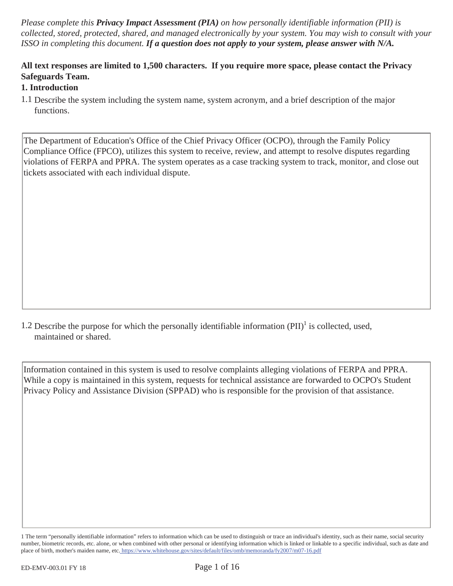*Please complete this Privacy Impact Assessment (PIA) on how personally identifiable information (PII) is collected, stored, protected, shared, and managed electronically by your system. You may wish to consult with your ISSO in completing this document. If a question does not apply to your system, please answer with N/A.* 

#### **All text responses are limited to 1,500 characters. If you require more space, please contact the Privacy Safeguards Team.**

#### **1. Introduction**

The Department of Education's Office of the Chief Privacy Officer (OCPO), through the Family Policy Compliance Office (FPCO), utilizes this system to receive, review, and attempt to resolve disputes regarding violations of FERPA and PPRA. The system operates as a case tracking system to track, monitor, and close out tickets associated with each individual dispute.

1.2 Describe the purpose for which the personally identifiable information  $(PII)^1$  is collected, used, maintained or shared.

Information contained in this system is used to resolve complaints alleging violations of FERPA and PPRA. While a copy is maintained in this system, requests for technical assistance are forwarded to OCPO's Student Privacy Policy and Assistance Division (SPPAD) who is responsible for the provision of that assistance.

<sup>1.1</sup> Describe the system including the system name, system acronym, and a brief description of the major functions.

<sup>1</sup> The term "personally identifiable information" refers to information which can be used to distinguish or trace an individual's identity, such as their name, social security number, biometric records, etc. alone, or when combined with other personal or identifying information which is linked or linkable to a specific individual, such as date and place of birth, mother's maiden name, etc. https://www.whitehouse.gov/sites/default/files/omb/memoranda/fy2007/m07-16.pdf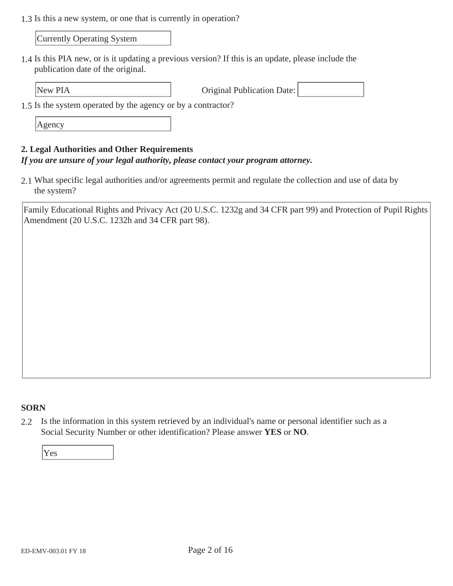1.3 Is this a new system, or one that is currently in operation?

Currently Operating System

1.4 Is this PIA new, or is it updating a previous version? If this is an update, please include the publication date of the original.

New PIA **Original Publication Date:** 

1.5 Is the system operated by the agency or by a contractor?

Agency

#### **2. Legal Authorities and Other Requirements**

#### *If you are unsure of your legal authority, please contact your program attorney.*

2.1 What specific legal authorities and/or agreements permit and regulate the collection and use of data by the system?

Family Educational Rights and Privacy Act (20 U.S.C. 1232g and 34 CFR part 99) and Protection of Pupil Rights Amendment (20 U.S.C. 1232h and 34 CFR part 98).

#### **SORN**

2.2 Is the information in this system retrieved by an individual's name or personal identifier such as a Social Security Number or other identification? Please answer **YES** or **NO**.

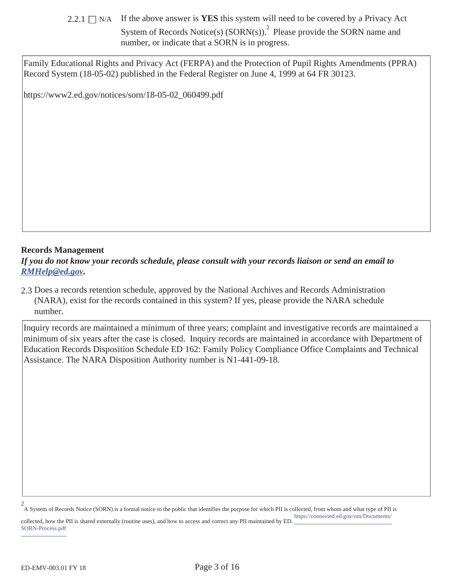2.2.1  $\Box$  N/A If the above answer is **YES** this system will need to be covered by a Privacy Act

System of Records Notice(s)  $(SORN(s))$ .<sup>2</sup> Please provide the SORN name and number, or indicate that a SORN is in progress.

Family Educational Rights and Privacy Act (FERPA) and the Protection of Pupil Rights Amendments (PPRA) Record System (18-05-02) published in the Federal Register on June 4, 1999 at 64 FR 30123.

https://www2.ed.gov/notices/sorn/18-05-02\_060499.pdf

#### **Records Management**

*If you do not know your records schedule, please consult with your records liaison or send an email to RMHelp@ed.gov.* 

2.3 Does a records retention schedule, approved by the National Archives and Records Administration (NARA), exist for the records contained in this system? If yes, please provide the NARA schedule number.

Inquiry records are maintained a minimum of three years; complaint and investigative records are maintained a minimum of six years after the case is closed. Inquiry records are maintained in accordance with Department of Education Records Disposition Schedule ED 162: Family Policy Compliance Office Complaints and Technical Assistance. The NARA Disposition Authority number is N1-441-09-18.

A System of Records Notice (SORN) is a formal notice to the public that identifies the purpose for which PII is collected, from whom and what type of PII is 2 https://connected.ed.gov/om/Documents/

collected, how the PII is shared externally (routine uses), and how to access and correct any PII maintained by ED. SORN-Process.pdf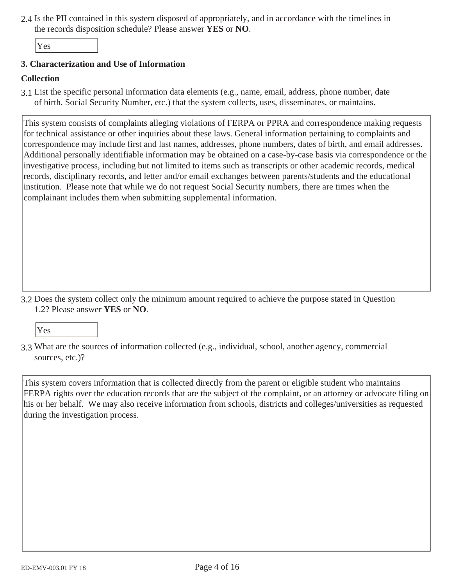2.4 Is the PII contained in this system disposed of appropriately, and in accordance with the timelines in the records disposition schedule? Please answer **YES** or **NO**.

Yes

#### **3. Characterization and Use of Information**

#### **Collection**

3.1 List the specific personal information data elements (e.g., name, email, address, phone number, date of birth, Social Security Number, etc.) that the system collects, uses, disseminates, or maintains.

This system consists of complaints alleging violations of FERPA or PPRA and correspondence making requests for technical assistance or other inquiries about these laws. General information pertaining to complaints and correspondence may include first and last names, addresses, phone numbers, dates of birth, and email addresses. Additional personally identifiable information may be obtained on a case-by-case basis via correspondence or the investigative process, including but not limited to items such as transcripts or other academic records, medical records, disciplinary records, and letter and/or email exchanges between parents/students and the educational institution. Please note that while we do not request Social Security numbers, there are times when the complainant includes them when submitting supplemental information.

3.2 Does the system collect only the minimum amount required to achieve the purpose stated in Question 1.2? Please answer **YES** or **NO**.

Yes

3.3 What are the sources of information collected (e.g., individual, school, another agency, commercial sources, etc.)?

This system covers information that is collected directly from the parent or eligible student who maintains FERPA rights over the education records that are the subject of the complaint, or an attorney or advocate filing on his or her behalf. We may also receive information from schools, districts and colleges/universities as requested during the investigation process.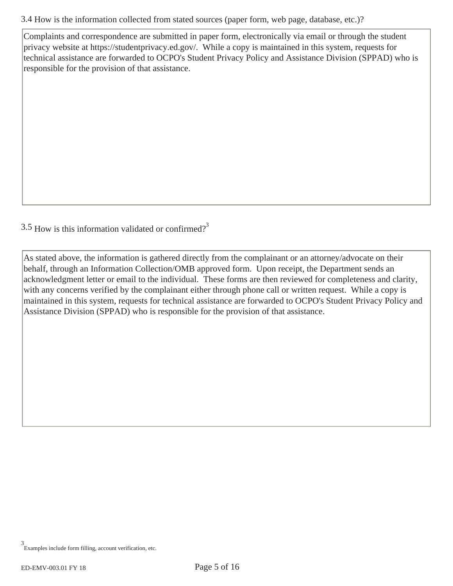3.4 How is the information collected from stated sources (paper form, web page, database, etc.)?

Complaints and correspondence are submitted in paper form, electronically via email or through the student privacy website at https://studentprivacy.ed.gov/. While a copy is maintained in this system, requests for technical assistance are forwarded to OCPO's Student Privacy Policy and Assistance Division (SPPAD) who is responsible for the provision of that assistance.

 $3.5$  How is this information validated or confirmed?<sup>3</sup>

As stated above, the information is gathered directly from the complainant or an attorney/advocate on their behalf, through an Information Collection/OMB approved form. Upon receipt, the Department sends an acknowledgment letter or email to the individual. These forms are then reviewed for completeness and clarity, with any concerns verified by the complainant either through phone call or written request. While a copy is maintained in this system, requests for technical assistance are forwarded to OCPO's Student Privacy Policy and Assistance Division (SPPAD) who is responsible for the provision of that assistance.

Examples include form filling, account verification, etc. 3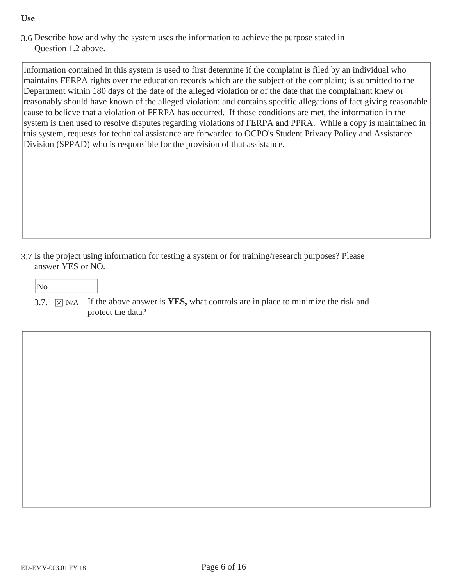#### **Use**

3.6 Describe how and why the system uses the information to achieve the purpose stated in Question 1.2 above.

Information contained in this system is used to first determine if the complaint is filed by an individual who maintains FERPA rights over the education records which are the subject of the complaint; is submitted to the Department within 180 days of the date of the alleged violation or of the date that the complainant knew or reasonably should have known of the alleged violation; and contains specific allegations of fact giving reasonable cause to believe that a violation of FERPA has occurred. If those conditions are met, the information in the system is then used to resolve disputes regarding violations of FERPA and PPRA. While a copy is maintained in this system, requests for technical assistance are forwarded to OCPO's Student Privacy Policy and Assistance Division (SPPAD) who is responsible for the provision of that assistance.

3.7 Is the project using information for testing a system or for training/research purposes? Please answer YES or NO.

## No

3.7.1  $\boxtimes$  N/A If the above answer is **YES**, what controls are in place to minimize the risk and protect the data?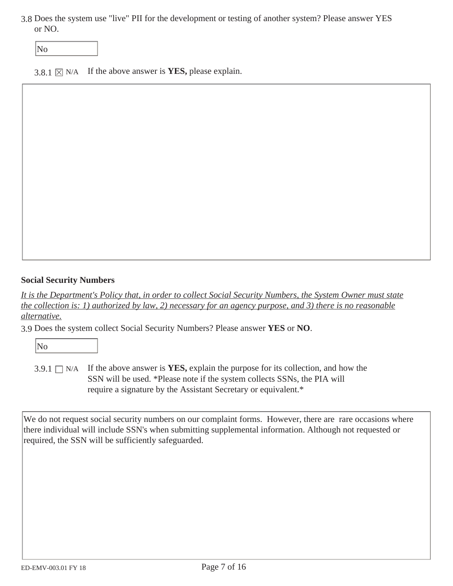3.8 Does the system use "live" PII for the development or testing of another system? Please answer YES or NO.

No

3.8.1  $\times$  N/A If the above answer is **YES**, please explain.

#### **Social Security Numbers**

*It is the Department's Policy that, in order to collect Social Security Numbers, the System Owner must state the collection is: 1) authorized by law, 2) necessary for an agency purpose, and 3) there is no reasonable alternative.* 

3.9 Does the system collect Social Security Numbers? Please answer **YES** or **NO**.

No

3.9.1  $\Box$  N/A If the above answer is **YES**, explain the purpose for its collection, and how the SSN will be used. \*Please note if the system collects SSNs, the PIA will require a signature by the Assistant Secretary or equivalent.\*

We do not request social security numbers on our complaint forms. However, there are rare occasions where there individual will include SSN's when submitting supplemental information. Although not requested or required, the SSN will be sufficiently safeguarded.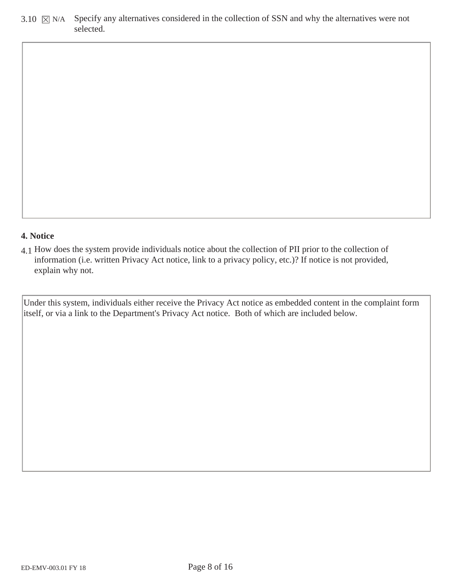3.10  $\boxtimes$  N/A Specify any alternatives considered in the collection of SSN and why the alternatives were not selected.

#### **4. Notice**

4.1 How does the system provide individuals notice about the collection of PII prior to the collection of information (i.e. written Privacy Act notice, link to a privacy policy, etc.)? If notice is not provided, explain why not.

Under this system, individuals either receive the Privacy Act notice as embedded content in the complaint form itself, or via a link to the Department's Privacy Act notice. Both of which are included below.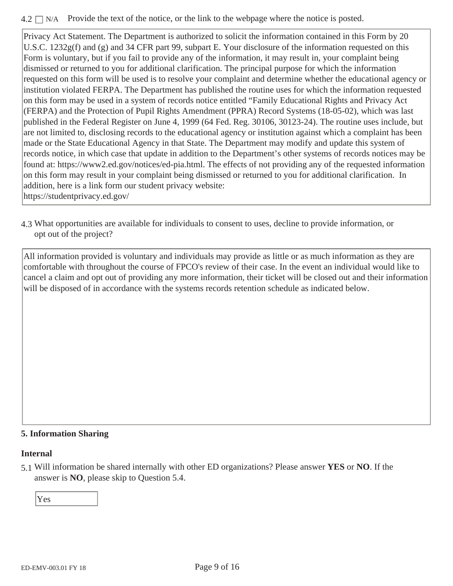#### $4.2 \square N/A$  Provide the text of the notice, or the link to the webpage where the notice is posted.

Privacy Act Statement. The Department is authorized to solicit the information contained in this Form by 20 U.S.C. 1232g(f) and (g) and 34 CFR part 99, subpart E. Your disclosure of the information requested on this Form is voluntary, but if you fail to provide any of the information, it may result in, your complaint being dismissed or returned to you for additional clarification. The principal purpose for which the information requested on this form will be used is to resolve your complaint and determine whether the educational agency or institution violated FERPA. The Department has published the routine uses for which the information requested on this form may be used in a system of records notice entitled "Family Educational Rights and Privacy Act (FERPA) and the Protection of Pupil Rights Amendment (PPRA) Record Systems (18-05-02), which was last published in the Federal Register on June 4, 1999 (64 Fed. Reg. 30106, 30123-24). The routine uses include, but are not limited to, disclosing records to the educational agency or institution against which a complaint has been made or the State Educational Agency in that State. The Department may modify and update this system of records notice, in which case that update in addition to the Department's other systems of records notices may be found at: https://www2.ed.gov/notices/ed-pia.html. The effects of not providing any of the requested information on this form may result in your complaint being dismissed or returned to you for additional clarification. In addition, here is a link form our student privacy website: https://studentprivacy.ed.gov/

4.3 What opportunities are available for individuals to consent to uses, decline to provide information, or opt out of the project?

All information provided is voluntary and individuals may provide as little or as much information as they are comfortable with throughout the course of FPCO's review of their case. In the event an individual would like to cancel a claim and opt out of providing any more information, their ticket will be closed out and their information will be disposed of in accordance with the systems records retention schedule as indicated below.

#### **5. Information Sharing**

#### **Internal**

5.1 Will information be shared internally with other ED organizations? Please answer **YES** or **NO**. If the answer is **NO**, please skip to Question 5.4.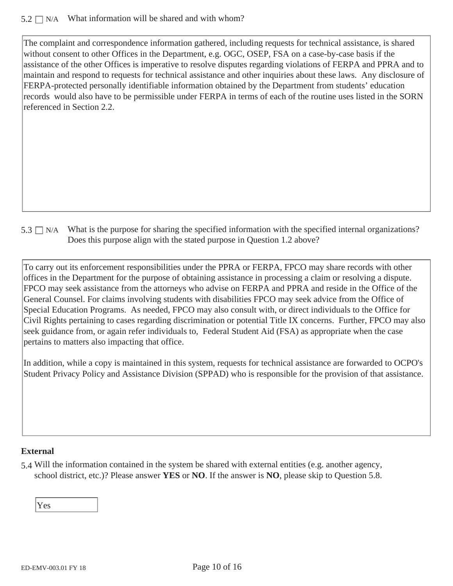#### $5.2 \Box$  N/A What information will be shared and with whom?

The complaint and correspondence information gathered, including requests for technical assistance, is shared without consent to other Offices in the Department, e.g. OGC, OSEP, FSA on a case-by-case basis if the assistance of the other Offices is imperative to resolve disputes regarding violations of FERPA and PPRA and to maintain and respond to requests for technical assistance and other inquiries about these laws. Any disclosure of FERPA-protected personally identifiable information obtained by the Department from students' education records would also have to be permissible under FERPA in terms of each of the routine uses listed in the SORN referenced in Section 2.2.

 $5.3 \Box$  N/A What is the purpose for sharing the specified information with the specified internal organizations? Does this purpose align with the stated purpose in Question 1.2 above?

To carry out its enforcement responsibilities under the PPRA or FERPA, FPCO may share records with other offices in the Department for the purpose of obtaining assistance in processing a claim or resolving a dispute. FPCO may seek assistance from the attorneys who advise on FERPA and PPRA and reside in the Office of the General Counsel. For claims involving students with disabilities FPCO may seek advice from the Office of Special Education Programs. As needed, FPCO may also consult with, or direct individuals to the Office for Civil Rights pertaining to cases regarding discrimination or potential Title IX concerns. Further, FPCO may also seek guidance from, or again refer individuals to, Federal Student Aid (FSA) as appropriate when the case pertains to matters also impacting that office.

In addition, while a copy is maintained in this system, requests for technical assistance are forwarded to OCPO's Student Privacy Policy and Assistance Division (SPPAD) who is responsible for the provision of that assistance.

#### **External**

5.4 Will the information contained in the system be shared with external entities (e.g. another agency, school district, etc.)? Please answer **YES** or **NO**. If the answer is **NO**, please skip to Question 5.8.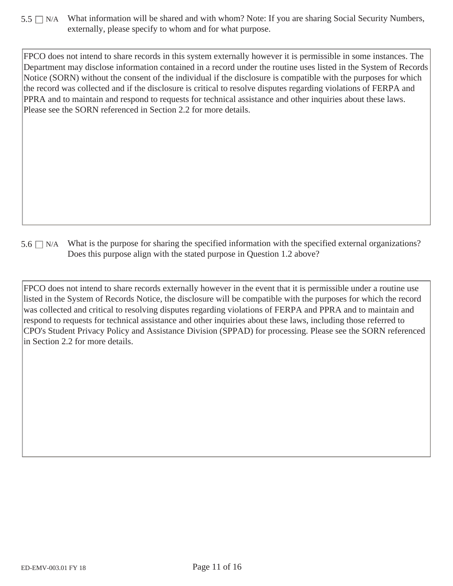$5.5 \Box$  N/A What information will be shared and with whom? Note: If you are sharing Social Security Numbers, externally, please specify to whom and for what purpose.

FPCO does not intend to share records in this system externally however it is permissible in some instances. The Department may disclose information contained in a record under the routine uses listed in the System of Records Notice (SORN) without the consent of the individual if the disclosure is compatible with the purposes for which the record was collected and if the disclosure is critical to resolve disputes regarding violations of FERPA and PPRA and to maintain and respond to requests for technical assistance and other inquiries about these laws. Please see the SORN referenced in Section 2.2 for more details.

 $5.6 \Box$  N/A What is the purpose for sharing the specified information with the specified external organizations? Does this purpose align with the stated purpose in Question 1.2 above?

FPCO does not intend to share records externally however in the event that it is permissible under a routine use listed in the System of Records Notice, the disclosure will be compatible with the purposes for which the record was collected and critical to resolving disputes regarding violations of FERPA and PPRA and to maintain and respond to requests for technical assistance and other inquiries about these laws, including those referred to CPO's Student Privacy Policy and Assistance Division (SPPAD) for processing. Please see the SORN referenced in Section 2.2 for more details.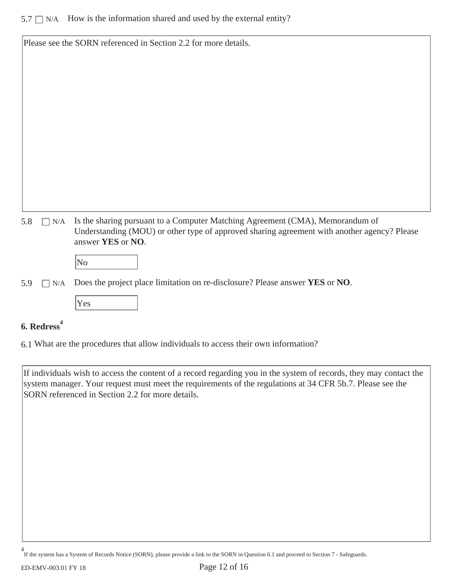|     |     | Please see the SORN referenced in Section 2.2 for more details.                                                                                                                                   |
|-----|-----|---------------------------------------------------------------------------------------------------------------------------------------------------------------------------------------------------|
|     |     |                                                                                                                                                                                                   |
|     |     |                                                                                                                                                                                                   |
|     |     |                                                                                                                                                                                                   |
|     |     |                                                                                                                                                                                                   |
|     |     |                                                                                                                                                                                                   |
|     |     |                                                                                                                                                                                                   |
|     |     |                                                                                                                                                                                                   |
|     |     |                                                                                                                                                                                                   |
|     |     |                                                                                                                                                                                                   |
|     |     |                                                                                                                                                                                                   |
|     |     |                                                                                                                                                                                                   |
| 5.8 | N/A | Is the sharing pursuant to a Computer Matching Agreement (CMA), Memorandum of<br>Understanding (MOU) or other type of approved sharing agreement with another agency? Please<br>answer YES or NO. |
|     |     | No                                                                                                                                                                                                |
| 5.9 | N/A | Does the project place limitation on re-disclosure? Please answer YES or NO.                                                                                                                      |
|     |     |                                                                                                                                                                                                   |

# Yes

# **6. Redress<sup>4</sup>**

6.1 What are the procedures that allow individuals to access their own information?

If individuals wish to access the content of a record regarding you in the system of records, they may contact the system manager. Your request must meet the requirements of the regulations at 34 CFR 5b.7. Please see the SORN referenced in Section 2.2 for more details.

If the system has a System of Records Notice (SORN), please provide a link to the SORN in Question 6.1 and proceed to Section 7 - Safeguards. 4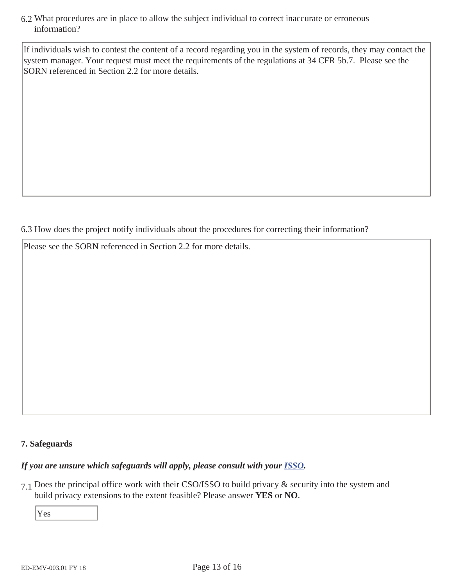6.2 What procedures are in place to allow the subject individual to correct inaccurate or erroneous information?

If individuals wish to contest the content of a record regarding you in the system of records, they may contact the system manager. Your request must meet the requirements of the regulations at 34 CFR 5b.7. Please see the SORN referenced in Section 2.2 for more details.

6.3 How does the project notify individuals about the procedures for correcting their information?

Please see the SORN referenced in Section 2.2 for more details.

#### **7. Safeguards**

## *If you are unsure which safeguards will apply, please consult with your ISSO.*

7.1 Does the principal office work with their CSO/ISSO to build privacy & security into the system and build privacy extensions to the extent feasible? Please answer **YES** or **NO**.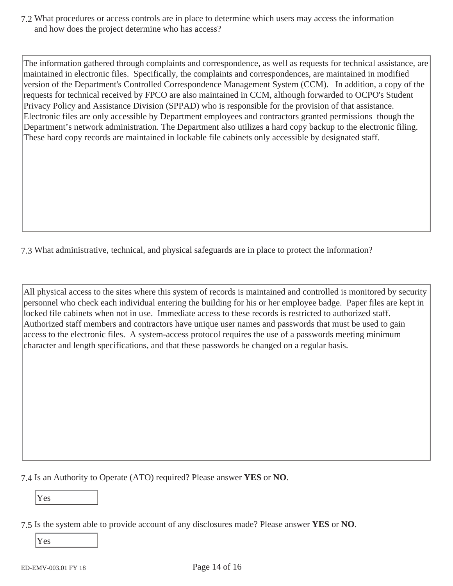7.2 What procedures or access controls are in place to determine which users may access the information and how does the project determine who has access?

The information gathered through complaints and correspondence, as well as requests for technical assistance, are maintained in electronic files. Specifically, the complaints and correspondences, are maintained in modified version of the Department's Controlled Correspondence Management System (CCM). In addition, a copy of the requests for technical received by FPCO are also maintained in CCM, although forwarded to OCPO's Student Privacy Policy and Assistance Division (SPPAD) who is responsible for the provision of that assistance. Electronic files are only accessible by Department employees and contractors granted permissions though the Department's network administration. The Department also utilizes a hard copy backup to the electronic filing. These hard copy records are maintained in lockable file cabinets only accessible by designated staff.

7.3 What administrative, technical, and physical safeguards are in place to protect the information?

All physical access to the sites where this system of records is maintained and controlled is monitored by security personnel who check each individual entering the building for his or her employee badge. Paper files are kept in locked file cabinets when not in use. Immediate access to these records is restricted to authorized staff. Authorized staff members and contractors have unique user names and passwords that must be used to gain access to the electronic files. A system-access protocol requires the use of a passwords meeting minimum character and length specifications, and that these passwords be changed on a regular basis.

7.4 Is an Authority to Operate (ATO) required? Please answer **YES** or **NO**.

Yes

<sup>7.5</sup> Is the system able to provide account of any disclosures made? Please answer **YES** or **NO**.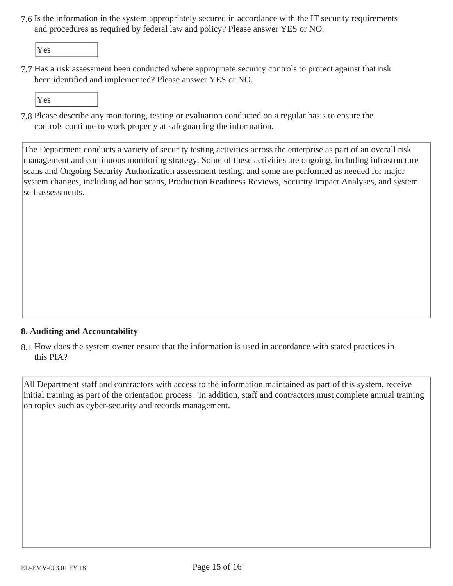7.6 Is the information in the system appropriately secured in accordance with the IT security requirements and procedures as required by federal law and policy? Please answer YES or NO.

Yes

7.7 Has a risk assessment been conducted where appropriate security controls to protect against that risk been identified and implemented? Please answer YES or NO.

Yes

7.8 Please describe any monitoring, testing or evaluation conducted on a regular basis to ensure the controls continue to work properly at safeguarding the information.

The Department conducts a variety of security testing activities across the enterprise as part of an overall risk management and continuous monitoring strategy. Some of these activities are ongoing, including infrastructure scans and Ongoing Security Authorization assessment testing, and some are performed as needed for major system changes, including ad hoc scans, Production Readiness Reviews, Security Impact Analyses, and system self-assessments.

#### **8. Auditing and Accountability**

8.1 How does the system owner ensure that the information is used in accordance with stated practices in this PIA?

All Department staff and contractors with access to the information maintained as part of this system, receive initial training as part of the orientation process. In addition, staff and contractors must complete annual training on topics such as cyber-security and records management.